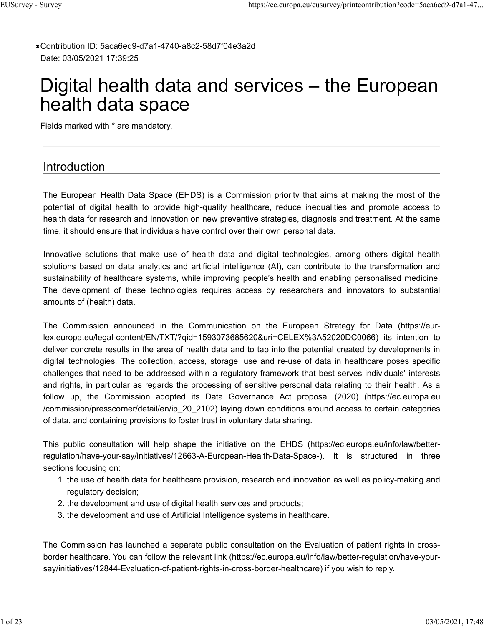Contribution ID: 5aca6ed9-d7a1-4740-a8c2-58d7f04e3a2d **\*** Date: 03/05/2021 17:39:25

# Digital health data and services – the European health data space

Fields marked with \* are mandatory.

# Introduction

The European Health Data Space (EHDS) is a Commission priority that aims at making the most of the potential of digital health to provide high-quality healthcare, reduce inequalities and promote access to health data for research and innovation on new preventive strategies, diagnosis and treatment. At the same time, it should ensure that individuals have control over their own personal data.

Innovative solutions that make use of health data and digital technologies, among others digital health solutions based on data analytics and artificial intelligence (AI), can contribute to the transformation and sustainability of healthcare systems, while improving people's health and enabling personalised medicine. The development of these technologies requires access by researchers and innovators to substantial amounts of (health) data.

The Commission announced in the Communication on the European Strategy for Data (https://eurlex.europa.eu/legal-content/EN/TXT/?qid=1593073685620&uri=CELEX%3A52020DC0066) its intention to deliver concrete results in the area of health data and to tap into the potential created by developments in digital technologies. The collection, access, storage, use and re-use of data in healthcare poses specific challenges that need to be addressed within a regulatory framework that best serves individuals' interests and rights, in particular as regards the processing of sensitive personal data relating to their health. As a follow up, the Commission adopted its Data Governance Act proposal (2020) (https://ec.europa.eu /commission/presscorner/detail/en/ip\_20\_2102) laying down conditions around access to certain categories of data, and containing provisions to foster trust in voluntary data sharing.

This public consultation will help shape the initiative on the EHDS (https://ec.europa.eu/info/law/betterregulation/have-your-say/initiatives/12663-A-European-Health-Data-Space-). It is structured in three sections focusing on:

- 1. the use of health data for healthcare provision, research and innovation as well as policy-making and regulatory decision;
- 2. the development and use of digital health services and products;
- 3. the development and use of Artificial Intelligence systems in healthcare.

The Commission has launched a separate public consultation on the Evaluation of patient rights in crossborder healthcare. You can follow the relevant link (https://ec.europa.eu/info/law/better-regulation/have-yoursay/initiatives/12844-Evaluation-of-patient-rights-in-cross-border-healthcare) if you wish to reply.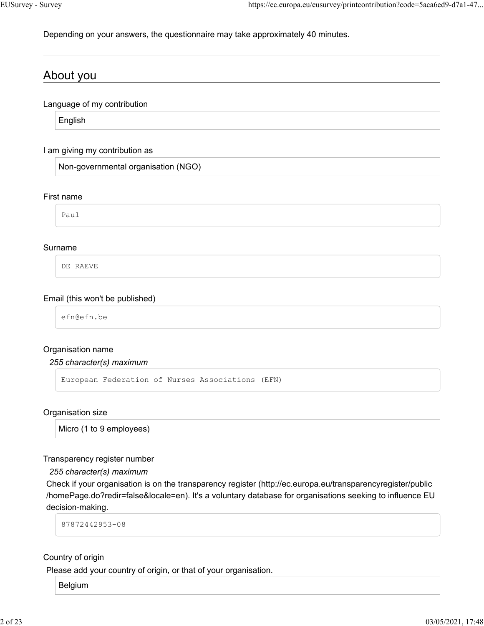Depending on your answers, the questionnaire may take approximately 40 minutes.

# About you

Language of my contribution

English

#### I am giving my contribution as

Non-governmental organisation (NGO)

#### First name

Paul

#### Surname

DE RAEVE

#### Email (this won't be published)

efn@efn.be

#### Organisation name

#### *255 character(s) maximum*

```
European Federation of Nurses Associations (EFN)
```
#### Organisation size

Micro (1 to 9 employees)

#### Transparency register number

*255 character(s) maximum*

Check if your organisation is on the transparency register (http://ec.europa.eu/transparencyregister/public /homePage.do?redir=false&locale=en). It's a voluntary database for organisations seeking to influence EU decision-making.

87872442953-08

#### Country of origin

Please add your country of origin, or that of your organisation.

Belgium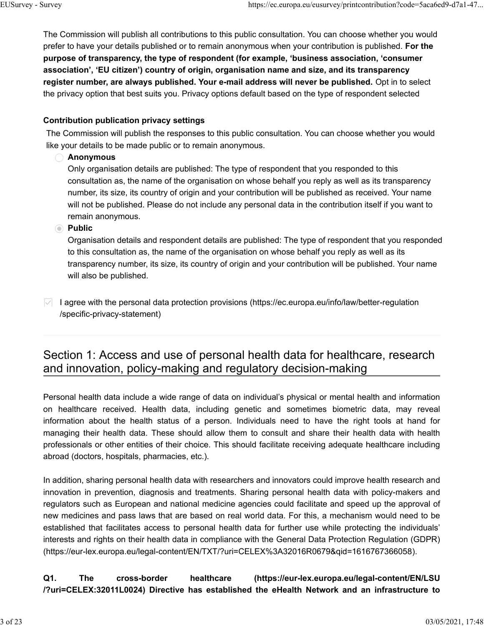The Commission will publish all contributions to this public consultation. You can choose whether you would prefer to have your details published or to remain anonymous when your contribution is published. **For the purpose of transparency, the type of respondent (for example, 'business association, 'consumer association', 'EU citizen') country of origin, organisation name and size, and its transparency register number, are always published. Your e-mail address will never be published.** Opt in to select the privacy option that best suits you. Privacy options default based on the type of respondent selected

#### **Contribution publication privacy settings**

The Commission will publish the responses to this public consultation. You can choose whether you would like your details to be made public or to remain anonymous.

#### **Anonymous**

Only organisation details are published: The type of respondent that you responded to this consultation as, the name of the organisation on whose behalf you reply as well as its transparency number, its size, its country of origin and your contribution will be published as received. Your name will not be published. Please do not include any personal data in the contribution itself if you want to remain anonymous.

#### **Public**

Organisation details and respondent details are published: The type of respondent that you responded to this consultation as, the name of the organisation on whose behalf you reply as well as its transparency number, its size, its country of origin and your contribution will be published. Your name will also be published.

 $|$  I agree with the personal data protection provisions (https://ec.europa.eu/info/law/better-regulation /specific-privacy-statement)

# Section 1: Access and use of personal health data for healthcare, research and innovation, policy-making and regulatory decision-making

Personal health data include a wide range of data on individual's physical or mental health and information on healthcare received. Health data, including genetic and sometimes biometric data, may reveal information about the health status of a person. Individuals need to have the right tools at hand for managing their health data. These should allow them to consult and share their health data with health professionals or other entities of their choice. This should facilitate receiving adequate healthcare including abroad (doctors, hospitals, pharmacies, etc.).

In addition, sharing personal health data with researchers and innovators could improve health research and innovation in prevention, diagnosis and treatments. Sharing personal health data with policy-makers and regulators such as European and national medicine agencies could facilitate and speed up the approval of new medicines and pass laws that are based on real world data. For this, a mechanism would need to be established that facilitates access to personal health data for further use while protecting the individuals' interests and rights on their health data in compliance with the General Data Protection Regulation (GDPR) (https://eur-lex.europa.eu/legal-content/EN/TXT/?uri=CELEX%3A32016R0679&qid=1616767366058).

**Q1. The cross-border healthcare (https://eur-lex.europa.eu/legal-content/EN/LSU /?uri=CELEX:32011L0024) Directive has established the eHealth Network and an infrastructure to**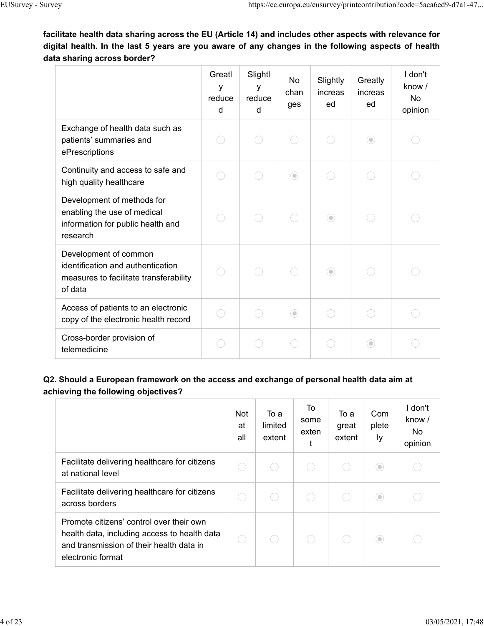**facilitate health data sharing across the EU (Article 14) and includes other aspects with relevance for digital health. In the last 5 years are you aware of any changes in the following aspects of health data sharing across border?**

|                                                                                                                 | Greatl<br>у<br>reduce<br>d | Slightl<br>V<br>reduce<br>d | <b>No</b><br>chan<br>ges | Slightly<br>increas<br>ed | Greatly<br>increas<br>ed | I don't<br>know /<br><b>No</b><br>opinion |
|-----------------------------------------------------------------------------------------------------------------|----------------------------|-----------------------------|--------------------------|---------------------------|--------------------------|-------------------------------------------|
| Exchange of health data such as<br>patients' summaries and<br>ePrescriptions                                    |                            |                             |                          |                           | $\odot$                  |                                           |
| Continuity and access to safe and<br>high quality healthcare                                                    |                            | $\sim$                      | $\odot$                  |                           |                          |                                           |
| Development of methods for<br>enabling the use of medical<br>information for public health and<br>research      |                            |                             |                          | $\odot$                   |                          |                                           |
| Development of common<br>identification and authentication<br>measures to facilitate transferability<br>of data |                            |                             |                          | $\odot$                   |                          |                                           |
| Access of patients to an electronic<br>copy of the electronic health record                                     |                            | n                           | $\odot$                  | - 1                       |                          |                                           |
| Cross-border provision of<br>telemedicine                                                                       |                            |                             |                          |                           | $\odot$                  |                                           |

# **Q2. Should a European framework on the access and exchange of personal health data aim at achieving the following objectives?**

|                                                                                                                                                           | Not<br>at<br>all | To a<br>limited<br>extent | To<br>some<br>exten | То а<br>great<br>extent | Com<br>plete<br>Iу | I don't<br>know /<br>No<br>opinion |
|-----------------------------------------------------------------------------------------------------------------------------------------------------------|------------------|---------------------------|---------------------|-------------------------|--------------------|------------------------------------|
| Facilitate delivering healthcare for citizens<br>at national level                                                                                        |                  |                           |                     |                         | $\circlearrowleft$ |                                    |
| Facilitate delivering healthcare for citizens<br>across borders                                                                                           |                  |                           |                     |                         | $\circ$            |                                    |
| Promote citizens' control over their own<br>health data, including access to health data<br>and transmission of their health data in<br>electronic format |                  |                           |                     |                         | $\circlearrowleft$ |                                    |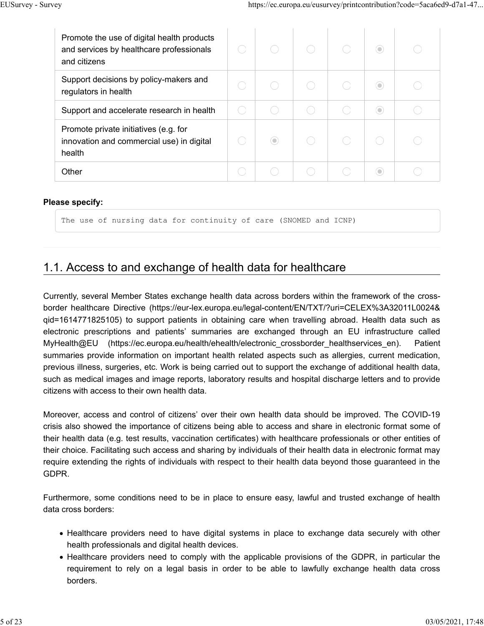| Promote the use of digital health products<br>and services by healthcare professionals<br>and citizens |         |  | 0 |  |
|--------------------------------------------------------------------------------------------------------|---------|--|---|--|
| Support decisions by policy-makers and<br>regulators in health                                         |         |  |   |  |
| Support and accelerate research in health                                                              |         |  | 0 |  |
| Promote private initiatives (e.g. for<br>innovation and commercial use) in digital<br>health           | $\circ$ |  |   |  |
| Other                                                                                                  |         |  |   |  |

#### **Please specify:**

The use of nursing data for continuity of care (SNOMED and ICNP)

# 1.1. Access to and exchange of health data for healthcare

Currently, several Member States exchange health data across borders within the framework of the crossborder healthcare Directive (https://eur-lex.europa.eu/legal-content/EN/TXT/?uri=CELEX%3A32011L0024& qid=1614771825105) to support patients in obtaining care when travelling abroad. Health data such as electronic prescriptions and patients' summaries are exchanged through an EU infrastructure called MyHealth@EU (https://ec.europa.eu/health/ehealth/electronic\_crossborder\_healthservices\_en). Patient summaries provide information on important health related aspects such as allergies, current medication, previous illness, surgeries, etc. Work is being carried out to support the exchange of additional health data, such as medical images and image reports, laboratory results and hospital discharge letters and to provide citizens with access to their own health data.

Moreover, access and control of citizens' over their own health data should be improved. The COVID-19 crisis also showed the importance of citizens being able to access and share in electronic format some of their health data (e.g. test results, vaccination certificates) with healthcare professionals or other entities of their choice. Facilitating such access and sharing by individuals of their health data in electronic format may require extending the rights of individuals with respect to their health data beyond those guaranteed in the GDPR.

Furthermore, some conditions need to be in place to ensure easy, lawful and trusted exchange of health data cross borders:

- Healthcare providers need to have digital systems in place to exchange data securely with other health professionals and digital health devices.
- Healthcare providers need to comply with the applicable provisions of the GDPR, in particular the requirement to rely on a legal basis in order to be able to lawfully exchange health data cross borders.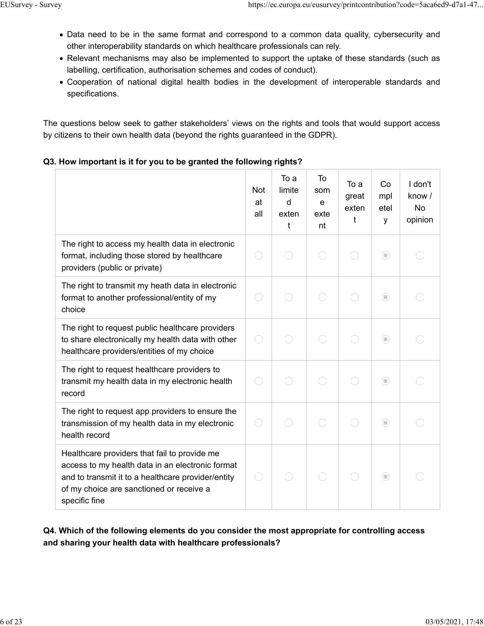- Data need to be in the same format and correspond to a common data quality, cybersecurity and other interoperability standards on which healthcare professionals can rely.
- Relevant mechanisms may also be implemented to support the uptake of these standards (such as labelling, certification, authorisation schemes and codes of conduct).
- Cooperation of national digital health bodies in the development of interoperable standards and specifications.

The questions below seek to gather stakeholders' views on the rights and tools that would support access by citizens to their own health data (beyond the rights guaranteed in the GDPR).

#### **Q3. How important is it for you to be granted the following rights?**

|                                                                                                                                                                                                                     | <b>Not</b><br>at<br>all      | To a<br>limite<br>d<br>exten<br>t | To<br>som<br>e<br>exte<br>nt | To a<br>great<br>exten<br>t | Co<br>mpl<br>etel<br>У | I don't<br>know /<br><b>No</b><br>opinion |
|---------------------------------------------------------------------------------------------------------------------------------------------------------------------------------------------------------------------|------------------------------|-----------------------------------|------------------------------|-----------------------------|------------------------|-------------------------------------------|
| The right to access my health data in electronic<br>format, including those stored by healthcare<br>providers (public or private)                                                                                   | $\hspace{1.5cm} \Box$        |                                   |                              |                             | $\odot$                |                                           |
| The right to transmit my heath data in electronic<br>format to another professional/entity of my<br>choice                                                                                                          | $\hspace{1.5cm} \rightarrow$ |                                   |                              |                             | $\odot$                |                                           |
| The right to request public healthcare providers<br>to share electronically my health data with other<br>healthcare providers/entities of my choice                                                                 | 0                            |                                   |                              |                             | $\odot$                |                                           |
| The right to request healthcare providers to<br>transmit my health data in my electronic health<br>record                                                                                                           | $\overline{\phantom{a}}$     |                                   |                              |                             | $\odot$                |                                           |
| The right to request app providers to ensure the<br>transmission of my health data in my electronic<br>health record                                                                                                | $\hspace{1.5cm} \rightarrow$ |                                   |                              |                             | $\odot$                |                                           |
| Healthcare providers that fail to provide me<br>access to my health data in an electronic format<br>and to transmit it to a healthcare provider/entity<br>of my choice are sanctioned or receive a<br>specific fine | $\hspace{1.5cm}$             |                                   |                              |                             | $\odot$                |                                           |

# **Q4. Which of the following elements do you consider the most appropriate for controlling access and sharing your health data with healthcare professionals?**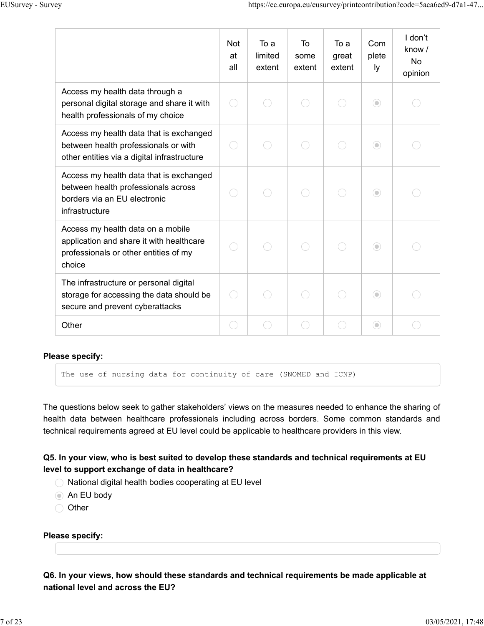|                                                                                                                                  | <b>Not</b><br>at<br>all | To a<br>limited<br>extent | To<br>some<br>extent | To a<br>great<br>extent | Com<br>plete<br>ly | I don't<br>know $/$<br><b>No</b><br>opinion |
|----------------------------------------------------------------------------------------------------------------------------------|-------------------------|---------------------------|----------------------|-------------------------|--------------------|---------------------------------------------|
| Access my health data through a<br>personal digital storage and share it with<br>health professionals of my choice               |                         |                           |                      |                         | $\odot$            |                                             |
| Access my health data that is exchanged<br>between health professionals or with<br>other entities via a digital infrastructure   |                         |                           |                      |                         | $\odot$            |                                             |
| Access my health data that is exchanged<br>between health professionals across<br>borders via an EU electronic<br>infrastructure |                         |                           |                      |                         | $\odot$            |                                             |
| Access my health data on a mobile<br>application and share it with healthcare<br>professionals or other entities of my<br>choice |                         |                           |                      |                         | $\odot$            |                                             |
| The infrastructure or personal digital<br>storage for accessing the data should be<br>secure and prevent cyberattacks            |                         |                           |                      |                         | $\odot$            |                                             |
| Other                                                                                                                            |                         |                           |                      |                         | ⊙                  |                                             |

#### **Please specify:**

The use of nursing data for continuity of care (SNOMED and ICNP)

The questions below seek to gather stakeholders' views on the measures needed to enhance the sharing of health data between healthcare professionals including across borders. Some common standards and technical requirements agreed at EU level could be applicable to healthcare providers in this view.

### **Q5. In your view, who is best suited to develop these standards and technical requirements at EU level to support exchange of data in healthcare?**

- $\bigcirc$  National digital health bodies cooperating at EU level
- **An EU body**
- O Other

#### **Please specify:**

**Q6. In your views, how should these standards and technical requirements be made applicable at national level and across the EU?**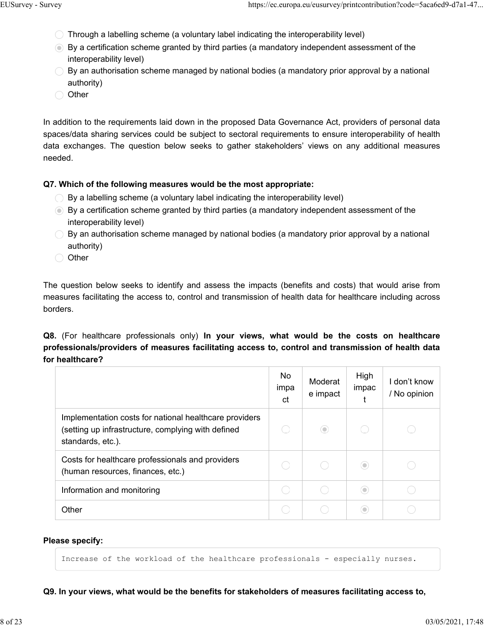- $\bigcirc$  Through a labelling scheme (a voluntary label indicating the interoperability level)
- By a certification scheme granted by third parties (a mandatory independent assessment of the interoperability level)
- $\bigcirc$  By an authorisation scheme managed by national bodies (a mandatory prior approval by a national authority)
- ◯ Other

In addition to the requirements laid down in the proposed Data Governance Act, providers of personal data spaces/data sharing services could be subject to sectoral requirements to ensure interoperability of health data exchanges. The question below seeks to gather stakeholders' views on any additional measures needed.

#### **Q7. Which of the following measures would be the most appropriate:**

- $\bigcirc$  By a labelling scheme (a voluntary label indicating the interoperability level)
- By a certification scheme granted by third parties (a mandatory independent assessment of the interoperability level)
- $\bigcirc$  By an authorisation scheme managed by national bodies (a mandatory prior approval by a national authority)
- ◯ Other

The question below seeks to identify and assess the impacts (benefits and costs) that would arise from measures facilitating the access to, control and transmission of health data for healthcare including across borders.

**Q8.** (For healthcare professionals only) **In your views, what would be the costs on healthcare professionals/providers of measures facilitating access to, control and transmission of health data for healthcare?**

|                                                                                                                                   | No<br>impa<br>ct | Moderat<br>e impact | High<br>impac      | don't know<br>/ No opinion |
|-----------------------------------------------------------------------------------------------------------------------------------|------------------|---------------------|--------------------|----------------------------|
| Implementation costs for national healthcare providers<br>(setting up infrastructure, complying with defined<br>standards, etc.). |                  | $\circledcirc$      |                    |                            |
| Costs for healthcare professionals and providers<br>(human resources, finances, etc.)                                             |                  |                     | $\circ$            |                            |
| Information and monitoring                                                                                                        |                  |                     | $\circlearrowleft$ |                            |
| Other                                                                                                                             |                  |                     | 0                  |                            |

#### **Please specify:**

Increase of the workload of the healthcare professionals - especially nurses.

**Q9. In your views, what would be the benefits for stakeholders of measures facilitating access to,**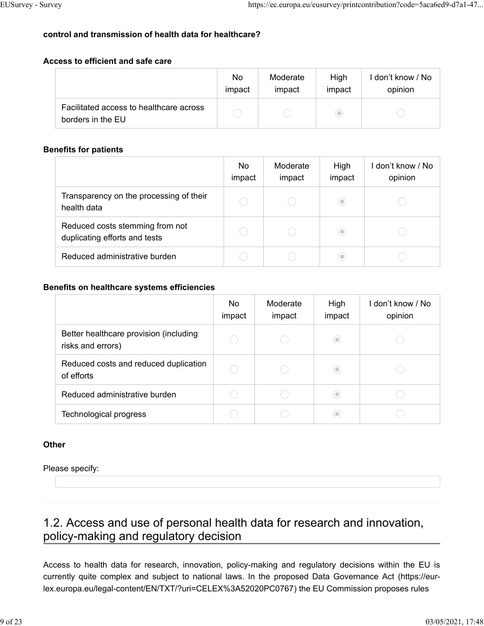# **control and transmission of health data for healthcare?**

#### **Access to efficient and safe care**

|                                                              | No.    | Moderate | High      | I don't know / No |
|--------------------------------------------------------------|--------|----------|-----------|-------------------|
|                                                              | impact | impact   | impact    | opinion           |
| Facilitated access to healthcare across<br>borders in the EU |        |          | $\bullet$ |                   |

### **Benefits for patients**

|                                                                  | No.<br>impact | Moderate<br>impact | High<br>impact               | l don't know / No<br>opinion |
|------------------------------------------------------------------|---------------|--------------------|------------------------------|------------------------------|
| Transparency on the processing of their<br>health data           |               |                    | $(\textcolor{red}{\bullet})$ |                              |
| Reduced costs stemming from not<br>duplicating efforts and tests |               |                    | $(\textcolor{red}{\bullet})$ |                              |
| Reduced administrative burden                                    |               |                    | $(\mathord{\text{\rm c}})$   |                              |

#### **Benefits on healthcare systems efficiencies**

|                                                             | No<br>impact | Moderate<br>impact | High<br>impact | l don't know / No<br>opinion |
|-------------------------------------------------------------|--------------|--------------------|----------------|------------------------------|
| Better healthcare provision (including<br>risks and errors) |              |                    | $\circ$        |                              |
| Reduced costs and reduced duplication<br>of efforts         |              |                    | $\circ$        |                              |
| Reduced administrative burden                               |              |                    | ⊙)             |                              |
| Technological progress                                      |              |                    | o              |                              |

#### **Other**

#### Please specify:

# 1.2. Access and use of personal health data for research and innovation, policy-making and regulatory decision

Access to health data for research, innovation, policy-making and regulatory decisions within the EU is currently quite complex and subject to national laws. In the proposed Data Governance Act (https://eurlex.europa.eu/legal-content/EN/TXT/?uri=CELEX%3A52020PC0767) the EU Commission proposes rules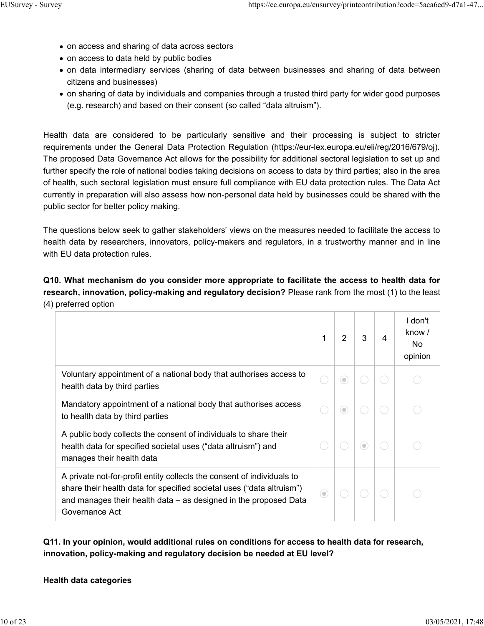- on access and sharing of data across sectors
- on access to data held by public bodies
- on data intermediary services (sharing of data between businesses and sharing of data between citizens and businesses)
- on sharing of data by individuals and companies through a trusted third party for wider good purposes (e.g. research) and based on their consent (so called "data altruism").

Health data are considered to be particularly sensitive and their processing is subject to stricter requirements under the General Data Protection Regulation (https://eur-lex.europa.eu/eli/reg/2016/679/oj). The proposed Data Governance Act allows for the possibility for additional sectoral legislation to set up and further specify the role of national bodies taking decisions on access to data by third parties; also in the area of health, such sectoral legislation must ensure full compliance with EU data protection rules. The Data Act currently in preparation will also assess how non-personal data held by businesses could be shared with the public sector for better policy making.

The questions below seek to gather stakeholders' views on the measures needed to facilitate the access to health data by researchers, innovators, policy-makers and regulators, in a trustworthy manner and in line with EU data protection rules.

**Q10. What mechanism do you consider more appropriate to facilitate the access to health data for research, innovation, policy-making and regulatory decision?** Please rank from the most (1) to the least (4) preferred option

|                                                                                                                                                                                                                                       | 1       | 2       | 3              | 4 | I don't<br>know /<br>No.<br>opinion |
|---------------------------------------------------------------------------------------------------------------------------------------------------------------------------------------------------------------------------------------|---------|---------|----------------|---|-------------------------------------|
| Voluntary appointment of a national body that authorises access to<br>health data by third parties                                                                                                                                    |         | 0       |                |   |                                     |
| Mandatory appointment of a national body that authorises access<br>to health data by third parties                                                                                                                                    |         | $\odot$ |                |   |                                     |
| A public body collects the consent of individuals to share their<br>health data for specified societal uses ("data altruism") and<br>manages their health data                                                                        |         |         | $\circledcirc$ |   |                                     |
| A private not-for-profit entity collects the consent of individuals to<br>share their health data for specified societal uses ("data altruism")<br>and manages their health data – as designed in the proposed Data<br>Governance Act | $\odot$ |         |                |   |                                     |

**Q11. In your opinion, would additional rules on conditions for access to health data for research, innovation, policy-making and regulatory decision be needed at EU level?**

#### **Health data categories**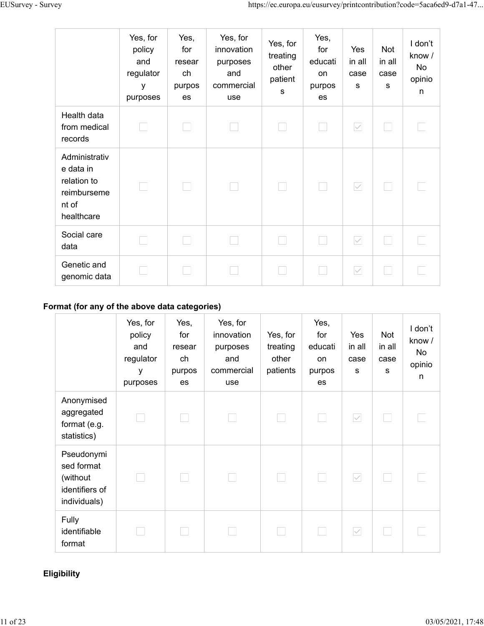|                                                                                 | Yes, for<br>policy<br>and<br>regulator<br>У<br>purposes | Yes,<br>for<br>resear<br>ch<br>purpos<br>es | Yes, for<br>innovation<br>purposes<br>and<br>commercial<br>use | Yes, for<br>treating<br>other<br>patient<br>S | Yes,<br>for<br>educati<br><b>on</b><br>purpos<br>es | Yes<br>in all<br>case<br>S | Not<br>in all<br>case<br>s | I don't<br>know /<br>No<br>opinio<br>$\mathsf{n}$ |
|---------------------------------------------------------------------------------|---------------------------------------------------------|---------------------------------------------|----------------------------------------------------------------|-----------------------------------------------|-----------------------------------------------------|----------------------------|----------------------------|---------------------------------------------------|
| Health data<br>from medical<br>records                                          |                                                         |                                             |                                                                |                                               |                                                     | $\checkmark$               |                            |                                                   |
| Administrativ<br>e data in<br>relation to<br>reimburseme<br>nt of<br>healthcare |                                                         | L.                                          |                                                                |                                               | <b>College</b>                                      | $\checkmark$               |                            |                                                   |
| Social care<br>data                                                             |                                                         |                                             |                                                                |                                               |                                                     | $\checkmark$               |                            |                                                   |
| Genetic and<br>genomic data                                                     |                                                         |                                             |                                                                |                                               |                                                     | $\checkmark$               |                            |                                                   |

# **Format (for any of the above data categories)**

|                                                                        | Yes, for<br>policy<br>and<br>regulator<br>y<br>purposes | Yes,<br>for<br>resear<br>ch<br>purpos<br>es | Yes, for<br>innovation<br>purposes<br>and<br>commercial<br>use | Yes, for<br>treating<br>other<br>patients | Yes,<br>for<br>educati<br>on<br>purpos<br>es | Yes<br>in all<br>case<br>s | Not<br>in all<br>case<br>s | I don't<br>know /<br>No<br>opinio<br>n |
|------------------------------------------------------------------------|---------------------------------------------------------|---------------------------------------------|----------------------------------------------------------------|-------------------------------------------|----------------------------------------------|----------------------------|----------------------------|----------------------------------------|
| Anonymised<br>aggregated<br>format (e.g.<br>statistics)                | ×.                                                      |                                             |                                                                |                                           |                                              | $\checkmark$               |                            |                                        |
| Pseudonymi<br>sed format<br>(without<br>identifiers of<br>individuals) | a a                                                     |                                             |                                                                |                                           |                                              | $\checkmark$               |                            |                                        |
| Fully<br>identifiable<br>format                                        |                                                         |                                             |                                                                |                                           |                                              | $\checkmark$               |                            |                                        |

# **Eligibility**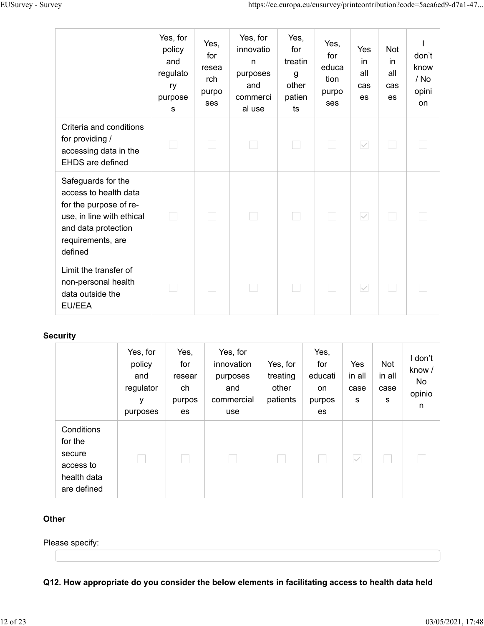|                                                                                                                                                           | Yes, for<br>policy<br>and<br>regulato<br>ry<br>purpose<br>s | Yes,<br>for<br>resea<br>rch<br>purpo<br>ses | Yes, for<br>innovatio<br>$\mathsf{n}$<br>purposes<br>and<br>commerci<br>al use | Yes,<br>for<br>treatin<br>g<br>other<br>patien<br>ts | Yes,<br>for<br>educa<br>tion<br>purpo<br>ses | Yes<br>in<br>all<br>cas<br>es | <b>Not</b><br>in<br>all<br>cas<br>es | don't<br>know<br>/ No<br>opini<br>on |
|-----------------------------------------------------------------------------------------------------------------------------------------------------------|-------------------------------------------------------------|---------------------------------------------|--------------------------------------------------------------------------------|------------------------------------------------------|----------------------------------------------|-------------------------------|--------------------------------------|--------------------------------------|
| Criteria and conditions<br>for providing /<br>accessing data in the<br><b>EHDS</b> are defined                                                            |                                                             |                                             |                                                                                |                                                      |                                              | $\checkmark$                  |                                      |                                      |
| Safeguards for the<br>access to health data<br>for the purpose of re-<br>use, in line with ethical<br>and data protection<br>requirements, are<br>defined |                                                             |                                             |                                                                                |                                                      |                                              | $\checkmark$                  |                                      |                                      |
| Limit the transfer of<br>non-personal health<br>data outside the<br><b>EU/EEA</b>                                                                         |                                                             |                                             |                                                                                |                                                      |                                              | $\checkmark$                  |                                      |                                      |

### **Security**

|                                                                            | Yes, for<br>policy<br>and<br>regulator<br>у<br>purposes | Yes,<br>for<br>resear<br>ch<br>purpos<br>es | Yes, for<br>innovation<br>purposes<br>and<br>commercial<br>use | Yes, for<br>treating<br>other<br>patients | Yes,<br>for<br>educati<br>on<br>purpos<br>es | Yes<br>in all<br>case<br>s | Not<br>in all<br>case<br>s | I don't<br>know /<br>No<br>opinio<br>n |
|----------------------------------------------------------------------------|---------------------------------------------------------|---------------------------------------------|----------------------------------------------------------------|-------------------------------------------|----------------------------------------------|----------------------------|----------------------------|----------------------------------------|
| Conditions<br>for the<br>secure<br>access to<br>health data<br>are defined |                                                         |                                             |                                                                |                                           |                                              | $\checkmark$               |                            |                                        |

#### **Other**

Please specify:

**Q12. How appropriate do you consider the below elements in facilitating access to health data held**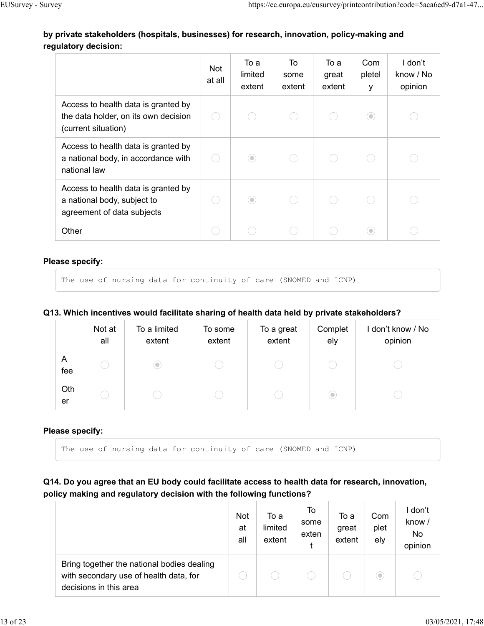# **by private stakeholders (hospitals, businesses) for research, innovation, policy-making and regulatory decision:**

|                                                                                                    | Not<br>at all | To a<br>limited<br>extent | To<br>some<br>extent | To a<br>great<br>extent | Com<br>pletel<br>у | I don't<br>know / No<br>opinion |
|----------------------------------------------------------------------------------------------------|---------------|---------------------------|----------------------|-------------------------|--------------------|---------------------------------|
| Access to health data is granted by<br>the data holder, on its own decision<br>(current situation) |               |                           |                      |                         | $\circledcirc$     |                                 |
| Access to health data is granted by<br>a national body, in accordance with<br>national law         |               | $\odot$                   |                      |                         |                    |                                 |
| Access to health data is granted by<br>a national body, subject to<br>agreement of data subjects   |               | $\odot$                   |                      |                         |                    |                                 |
| Other                                                                                              |               |                           |                      |                         | $\circlearrowleft$ |                                 |

#### **Please specify:**

```
The use of nursing data for continuity of care (SNOMED and ICNP)
```
#### **Q13. Which incentives would facilitate sharing of health data held by private stakeholders?**

|           | Not at<br>all | To a limited<br>extent     | To some<br>extent | To a great<br>extent | Complet<br>ely               | I don't know / No<br>opinion |
|-----------|---------------|----------------------------|-------------------|----------------------|------------------------------|------------------------------|
| A<br>fee  |               | $(\mathord{\text{\rm c}})$ |                   |                      |                              |                              |
| Oth<br>er |               |                            |                   |                      | $(\textcolor{red}{\bullet})$ |                              |

#### **Please specify:**

The use of nursing data for continuity of care (SNOMED and ICNP)

**Q14. Do you agree that an EU body could facilitate access to health data for research, innovation, policy making and regulatory decision with the following functions?**

|                                                                                                                | Not<br>at<br>all | To a<br>limited<br>extent | To<br>some<br>exten | To a<br>great<br>extent | Com<br>plet<br>ely | l don't<br>know /<br>No<br>opinion |
|----------------------------------------------------------------------------------------------------------------|------------------|---------------------------|---------------------|-------------------------|--------------------|------------------------------------|
| Bring together the national bodies dealing<br>with secondary use of health data, for<br>decisions in this area |                  |                           |                     |                         | O                  |                                    |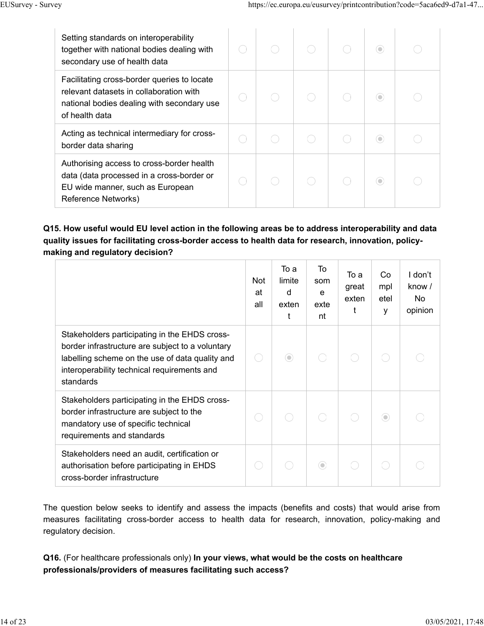| Setting standards on interoperability<br>together with national bodies dealing with<br>secondary use of health data                                    |  |  | O |  |
|--------------------------------------------------------------------------------------------------------------------------------------------------------|--|--|---|--|
| Facilitating cross-border queries to locate<br>relevant datasets in collaboration with<br>national bodies dealing with secondary use<br>of health data |  |  |   |  |
| Acting as technical intermediary for cross-<br>border data sharing                                                                                     |  |  |   |  |
| Authorising access to cross-border health<br>data (data processed in a cross-border or<br>EU wide manner, such as European<br>Reference Networks)      |  |  |   |  |

# **Q15. How useful would EU level action in the following areas be to address interoperability and data quality issues for facilitating cross-border access to health data for research, innovation, policymaking and regulatory decision?**

|                                                                                                                                                                                                                  | <b>Not</b><br>at<br>all | To a<br>limite<br>d<br>exten<br>t | To<br>som<br>e<br>exte<br>nt | To a<br>great<br>exten<br>t | Co<br>mpl<br>etel<br>y | I don't<br>know /<br>No<br>opinion |
|------------------------------------------------------------------------------------------------------------------------------------------------------------------------------------------------------------------|-------------------------|-----------------------------------|------------------------------|-----------------------------|------------------------|------------------------------------|
| Stakeholders participating in the EHDS cross-<br>border infrastructure are subject to a voluntary<br>labelling scheme on the use of data quality and<br>interoperability technical requirements and<br>standards |                         | $\odot$                           |                              |                             |                        |                                    |
| Stakeholders participating in the EHDS cross-<br>border infrastructure are subject to the<br>mandatory use of specific technical<br>requirements and standards                                                   |                         |                                   |                              |                             | $\circledcirc$         |                                    |
| Stakeholders need an audit, certification or<br>authorisation before participating in EHDS<br>cross-border infrastructure                                                                                        |                         |                                   | $\circledcirc$               |                             |                        |                                    |

The question below seeks to identify and assess the impacts (benefits and costs) that would arise from measures facilitating cross-border access to health data for research, innovation, policy-making and regulatory decision.

# **Q16.** (For healthcare professionals only) **In your views, what would be the costs on healthcare professionals/providers of measures facilitating such access?**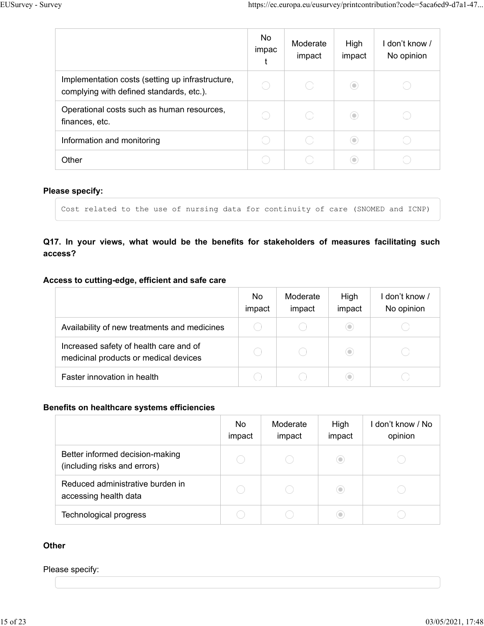|                                                                                              | No<br>impac | Moderate<br>impact | High<br>impact                | l don't know /<br>No opinion |
|----------------------------------------------------------------------------------------------|-------------|--------------------|-------------------------------|------------------------------|
| Implementation costs (setting up infrastructure,<br>complying with defined standards, etc.). |             |                    | $(\textcolor{red}{\bullet})$  |                              |
| Operational costs such as human resources,<br>finances, etc.                                 |             |                    | $(\textcolor{blue}{\bullet})$ |                              |
| Information and monitoring                                                                   |             |                    | $\circ$                       |                              |
| Other                                                                                        |             |                    | $\circ$                       |                              |

#### **Please specify:**

```
Cost related to the use of nursing data for continuity of care (SNOMED and ICNP)
```
# **Q17. In your views, what would be the benefits for stakeholders of measures facilitating such access?**

#### **Access to cutting-edge, efficient and safe care**

|                                                                                 | No.<br>impact | Moderate<br>impact | High<br>impact | I don't know /<br>No opinion |
|---------------------------------------------------------------------------------|---------------|--------------------|----------------|------------------------------|
| Availability of new treatments and medicines                                    |               |                    | ۰              |                              |
| Increased safety of health care and of<br>medicinal products or medical devices |               |                    | ۰              |                              |
| Faster innovation in health                                                     |               |                    | 0              |                              |

#### **Benefits on healthcare systems efficiencies**

|                                                                 | No<br>impact | Moderate<br>impact | High<br>impact               | don't know / No<br>opinion |
|-----------------------------------------------------------------|--------------|--------------------|------------------------------|----------------------------|
| Better informed decision-making<br>(including risks and errors) |              |                    | $(\textcolor{red}{\bullet})$ |                            |
| Reduced administrative burden in<br>accessing health data       |              |                    | $(\circ)$                    |                            |
| Technological progress                                          |              |                    | 0                            |                            |

#### **Other**

#### Please specify: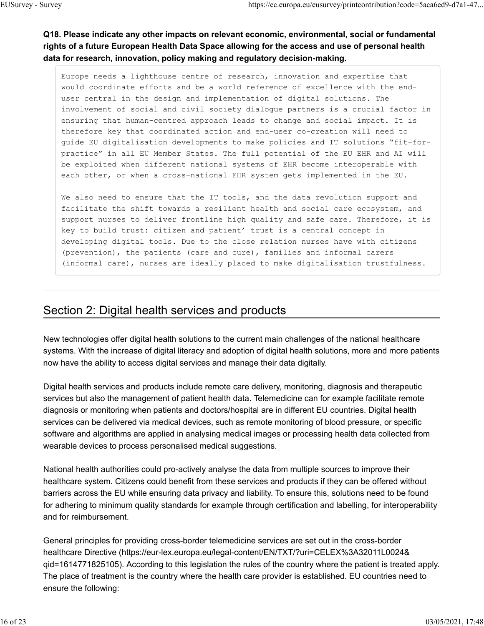# **Q18. Please indicate any other impacts on relevant economic, environmental, social or fundamental rights of a future European Health Data Space allowing for the access and use of personal health data for research, innovation, policy making and regulatory decision-making.**

Europe needs a lighthouse centre of research, innovation and expertise that would coordinate efforts and be a world reference of excellence with the enduser central in the design and implementation of digital solutions. The involvement of social and civil society dialogue partners is a crucial factor in ensuring that human-centred approach leads to change and social impact. It is therefore key that coordinated action and end-user co-creation will need to guide EU digitalisation developments to make policies and IT solutions "fit-forpractice" in all EU Member States. The full potential of the EU EHR and AI will be exploited when different national systems of EHR become interoperable with each other, or when a cross-national EHR system gets implemented in the EU.

We also need to ensure that the IT tools, and the data revolution support and facilitate the shift towards a resilient health and social care ecosystem, and support nurses to deliver frontline high quality and safe care. Therefore, it is key to build trust: citizen and patient' trust is a central concept in developing digital tools. Due to the close relation nurses have with citizens (prevention), the patients (care and cure), families and informal carers (informal care), nurses are ideally placed to make digitalisation trustfulness.

# Section 2: Digital health services and products

New technologies offer digital health solutions to the current main challenges of the national healthcare systems. With the increase of digital literacy and adoption of digital health solutions, more and more patients now have the ability to access digital services and manage their data digitally.

Digital health services and products include remote care delivery, monitoring, diagnosis and therapeutic services but also the management of patient health data. Telemedicine can for example facilitate remote diagnosis or monitoring when patients and doctors/hospital are in different EU countries. Digital health services can be delivered via medical devices, such as remote monitoring of blood pressure, or specific software and algorithms are applied in analysing medical images or processing health data collected from wearable devices to process personalised medical suggestions.

National health authorities could pro-actively analyse the data from multiple sources to improve their healthcare system. Citizens could benefit from these services and products if they can be offered without barriers across the EU while ensuring data privacy and liability. To ensure this, solutions need to be found for adhering to minimum quality standards for example through certification and labelling, for interoperability and for reimbursement.

General principles for providing cross-border telemedicine services are set out in the cross-border healthcare Directive (https://eur-lex.europa.eu/legal-content/EN/TXT/?uri=CELEX%3A32011L0024& qid=1614771825105). According to this legislation the rules of the country where the patient is treated apply. The place of treatment is the country where the health care provider is established. EU countries need to ensure the following: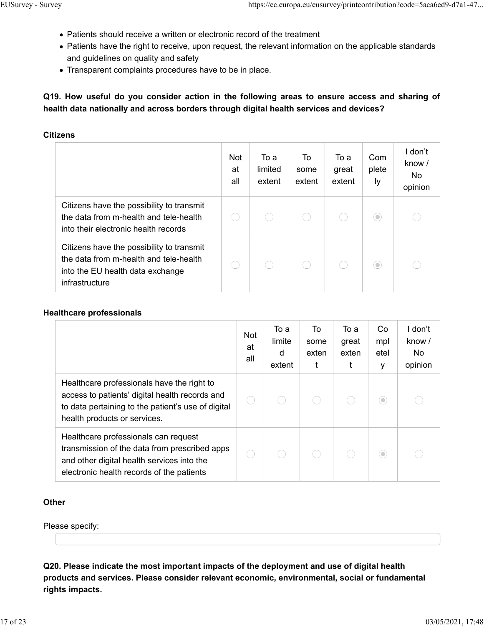- Patients should receive a written or electronic record of the treatment
- Patients have the right to receive, upon request, the relevant information on the applicable standards and guidelines on quality and safety
- Transparent complaints procedures have to be in place.

**Q19. How useful do you consider action in the following areas to ensure access and sharing of health data nationally and across borders through digital health services and devices?**

#### **Citizens**

|                                                                                                                                           | <b>Not</b><br>at<br>all | То а<br>limited<br>extent | To<br>some<br>extent | To a<br>great<br>extent | Com<br>plete<br>Iу | I don't<br>know /<br>No.<br>opinion |
|-------------------------------------------------------------------------------------------------------------------------------------------|-------------------------|---------------------------|----------------------|-------------------------|--------------------|-------------------------------------|
| Citizens have the possibility to transmit<br>the data from m-health and tele-health<br>into their electronic health records               |                         |                           |                      |                         | $\circ$            |                                     |
| Citizens have the possibility to transmit<br>the data from m-health and tele-health<br>into the EU health data exchange<br>infrastructure |                         |                           |                      |                         | $\circ$            |                                     |

#### **Healthcare professionals**

|                                                                                                                                                                                    | <b>Not</b><br>at<br>all | To a<br>limite<br>d<br>extent | To<br>some<br>exten | То а<br>great<br>exten | Co<br>mpl<br>etel<br>у | I don't<br>know $/$<br>No.<br>opinion |
|------------------------------------------------------------------------------------------------------------------------------------------------------------------------------------|-------------------------|-------------------------------|---------------------|------------------------|------------------------|---------------------------------------|
| Healthcare professionals have the right to<br>access to patients' digital health records and<br>to data pertaining to the patient's use of digital<br>health products or services. |                         |                               |                     |                        | $\circ$                |                                       |
| Healthcare professionals can request<br>transmission of the data from prescribed apps<br>and other digital health services into the<br>electronic health records of the patients   |                         |                               |                     |                        | $\circlearrowleft$     |                                       |

#### **Other**

Please specify:

**Q20. Please indicate the most important impacts of the deployment and use of digital health products and services. Please consider relevant economic, environmental, social or fundamental rights impacts.**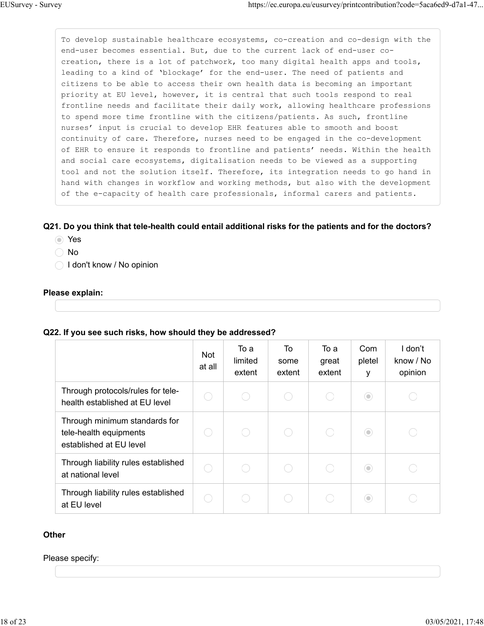To develop sustainable healthcare ecosystems, co-creation and co-design with the end-user becomes essential. But, due to the current lack of end-user cocreation, there is a lot of patchwork, too many digital health apps and tools, leading to a kind of 'blockage' for the end-user. The need of patients and citizens to be able to access their own health data is becoming an important priority at EU level, however, it is central that such tools respond to real frontline needs and facilitate their daily work, allowing healthcare professions to spend more time frontline with the citizens/patients. As such, frontline nurses' input is crucial to develop EHR features able to smooth and boost continuity of care. Therefore, nurses need to be engaged in the co-development of EHR to ensure it responds to frontline and patients' needs. Within the health and social care ecosystems, digitalisation needs to be viewed as a supporting tool and not the solution itself. Therefore, its integration needs to go hand in hand with changes in workflow and working methods, but also with the development of the e-capacity of health care professionals, informal carers and patients.

#### **Q21. Do you think that tele-health could entail additional risks for the patients and for the doctors?**

- Yes
- ◯ No
- ◯ I don't know / No opinion

#### **Please explain:**

#### **Q22. If you see such risks, how should they be addressed?**

|                                                                                    | <b>Not</b><br>at all | То а<br>limited<br>extent | To<br>some<br>extent | To a<br>great<br>extent | Com<br>pletel<br>y | I don't<br>know / No<br>opinion |
|------------------------------------------------------------------------------------|----------------------|---------------------------|----------------------|-------------------------|--------------------|---------------------------------|
| Through protocols/rules for tele-<br>health established at EU level                |                      |                           |                      |                         | $\circ$            |                                 |
| Through minimum standards for<br>tele-health equipments<br>established at EU level |                      |                           |                      |                         | $\circledcirc$     |                                 |
| Through liability rules established<br>at national level                           | Ο.                   |                           |                      |                         | $\odot$            |                                 |
| Through liability rules established<br>at EU level                                 |                      |                           |                      |                         | $\circ$            |                                 |

#### **Other**

#### Please specify: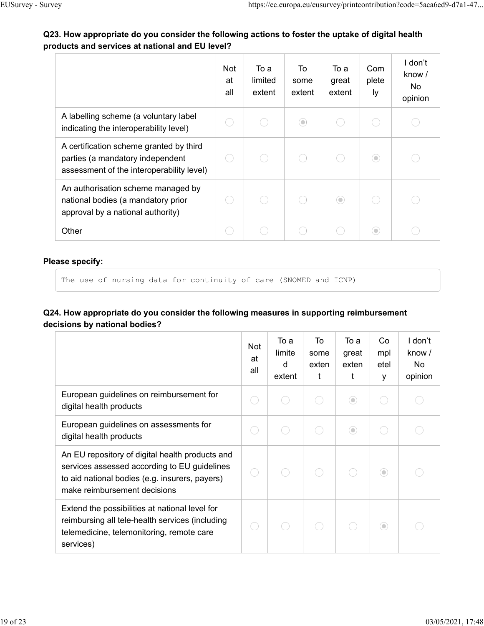# **Q23. How appropriate do you consider the following actions to foster the uptake of digital health products and services at national and EU level?**

|                                                                                                                          | Not<br>at<br>all | To a<br>limited<br>extent | To<br>some<br>extent | To a<br>great<br>extent | Com<br>plete<br>ly | I don't<br>know /<br>No.<br>opinion |
|--------------------------------------------------------------------------------------------------------------------------|------------------|---------------------------|----------------------|-------------------------|--------------------|-------------------------------------|
| A labelling scheme (a voluntary label<br>indicating the interoperability level)                                          |                  |                           | $\circledcirc$       |                         |                    |                                     |
| A certification scheme granted by third<br>parties (a mandatory independent<br>assessment of the interoperability level) |                  |                           |                      |                         | $\circ$            |                                     |
| An authorisation scheme managed by<br>national bodies (a mandatory prior<br>approval by a national authority)            |                  |                           |                      | $\odot$                 |                    |                                     |
| Other                                                                                                                    |                  |                           |                      |                         | $\circ$            |                                     |

#### **Please specify:**

The use of nursing data for continuity of care (SNOMED and ICNP)

## **Q24. How appropriate do you consider the following measures in supporting reimbursement decisions by national bodies?**

|                                                                                                                                                                                   | <b>Not</b><br>at<br>all | To a<br>limite<br>d<br>extent | To<br>some<br>exten<br>t | To a<br>great<br>exten | Co<br>mpl<br>etel<br>y | I don't<br>know /<br>No<br>opinion |
|-----------------------------------------------------------------------------------------------------------------------------------------------------------------------------------|-------------------------|-------------------------------|--------------------------|------------------------|------------------------|------------------------------------|
| European guidelines on reimbursement for<br>digital health products                                                                                                               | Ο.                      |                               |                          | $\odot$                |                        |                                    |
| European guidelines on assessments for<br>digital health products                                                                                                                 | С.                      |                               |                          | $\odot$                |                        |                                    |
| An EU repository of digital health products and<br>services assessed according to EU guidelines<br>to aid national bodies (e.g. insurers, payers)<br>make reimbursement decisions |                         |                               |                          |                        | $\odot$                |                                    |
| Extend the possibilities at national level for<br>reimbursing all tele-health services (including<br>telemedicine, telemonitoring, remote care<br>services)                       |                         |                               |                          |                        | $\odot$                |                                    |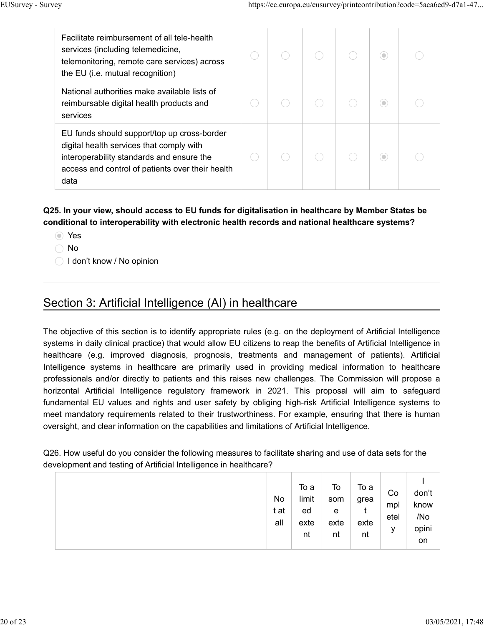| Facilitate reimbursement of all tele-health<br>services (including telemedicine,<br>telemonitoring, remote care services) across<br>the EU ( <i>i.e.</i> mutual recognition)                     |  |  | $\circ$ |  |
|--------------------------------------------------------------------------------------------------------------------------------------------------------------------------------------------------|--|--|---------|--|
| National authorities make available lists of<br>reimbursable digital health products and<br>services                                                                                             |  |  | ⊙       |  |
| EU funds should support/top up cross-border<br>digital health services that comply with<br>interoperability standards and ensure the<br>access and control of patients over their health<br>data |  |  | $\circ$ |  |

# **Q25. In your view, should access to EU funds for digitalisation in healthcare by Member States be conditional to interoperability with electronic health records and national healthcare systems?**

- Yes
- ◯ No
- ◯ I don't know / No opinion

# Section 3: Artificial Intelligence (AI) in healthcare

The objective of this section is to identify appropriate rules (e.g. on the deployment of Artificial Intelligence systems in daily clinical practice) that would allow EU citizens to reap the benefits of Artificial Intelligence in healthcare (e.g. improved diagnosis, prognosis, treatments and management of patients). Artificial Intelligence systems in healthcare are primarily used in providing medical information to healthcare professionals and/or directly to patients and this raises new challenges. The Commission will propose a horizontal Artificial Intelligence regulatory framework in 2021. This proposal will aim to safeguard fundamental EU values and rights and user safety by obliging high-risk Artificial Intelligence systems to meet mandatory requirements related to their trustworthiness. For example, ensuring that there is human oversight, and clear information on the capabilities and limitations of Artificial Intelligence.

Q26. How useful do you consider the following measures to facilitate sharing and use of data sets for the development and testing of Artificial Intelligence in healthcare?

|  | No<br>t at<br>all | To a<br>limit<br>ed<br>exte<br>nt | To<br>som<br>e<br>exte<br>nt | To a<br>grea<br>exte<br>nt | Co<br>mpl<br>etel<br>у | don't<br>know<br>/No<br>opini<br>on |
|--|-------------------|-----------------------------------|------------------------------|----------------------------|------------------------|-------------------------------------|
|--|-------------------|-----------------------------------|------------------------------|----------------------------|------------------------|-------------------------------------|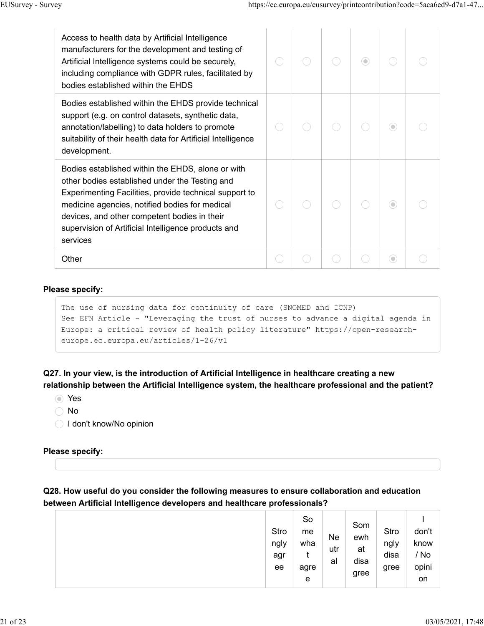| Access to health data by Artificial Intelligence<br>manufacturers for the development and testing of<br>Artificial Intelligence systems could be securely,<br>including compliance with GDPR rules, facilitated by<br>bodies established within the EHDS                                                                           |  | $\circ$ |   |  |
|------------------------------------------------------------------------------------------------------------------------------------------------------------------------------------------------------------------------------------------------------------------------------------------------------------------------------------|--|---------|---|--|
| Bodies established within the EHDS provide technical<br>support (e.g. on control datasets, synthetic data,<br>annotation/labelling) to data holders to promote<br>suitability of their health data for Artificial Intelligence<br>development.                                                                                     |  |         | ⊙ |  |
| Bodies established within the EHDS, alone or with<br>other bodies established under the Testing and<br>Experimenting Facilities, provide technical support to<br>medicine agencies, notified bodies for medical<br>devices, and other competent bodies in their<br>supervision of Artificial Intelligence products and<br>services |  |         | ⊙ |  |
| Other                                                                                                                                                                                                                                                                                                                              |  |         | ۰ |  |

#### **Please specify:**

```
The use of nursing data for continuity of care (SNOMED and ICNP)
See EFN Article - "Leveraging the trust of nurses to advance a digital agenda in 
Europe: a critical review of health policy literature" https://open-research-
europe.ec.europa.eu/articles/1-26/v1
```
**Q27. In your view, is the introduction of Artificial Intelligence in healthcare creating a new relationship between the Artificial Intelligence system, the healthcare professional and the patient?**

- Yes
- ◯ No
- ◯ I don't know/No opinion

#### **Please specify:**

```
Q28. How useful do you consider the following measures to ensure collaboration and education
between Artificial Intelligence developers and healthcare professionals?
```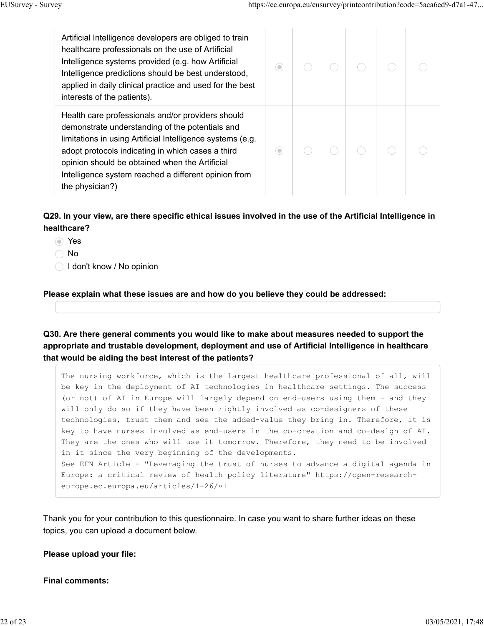| Artificial Intelligence developers are obliged to train<br>healthcare professionals on the use of Artificial<br>Intelligence systems provided (e.g. how Artificial<br>Intelligence predictions should be best understood,<br>applied in daily clinical practice and used for the best<br>interests of the patients).                                 | 0 |  |  |  |
|------------------------------------------------------------------------------------------------------------------------------------------------------------------------------------------------------------------------------------------------------------------------------------------------------------------------------------------------------|---|--|--|--|
| Health care professionals and/or providers should<br>demonstrate understanding of the potentials and<br>limitations in using Artificial Intelligence systems (e.g.<br>adopt protocols indicating in which cases a third<br>opinion should be obtained when the Artificial<br>Intelligence system reached a different opinion from<br>the physician?) | ۰ |  |  |  |

## **Q29. In your view, are there specific ethical issues involved in the use of the Artificial Intelligence in healthcare?**

- Yes
- ◯ No
- ◯ I don't know / No opinion

#### **Please explain what these issues are and how do you believe they could be addressed:**

### **Q30. Are there general comments you would like to make about measures needed to support the appropriate and trustable development, deployment and use of Artificial Intelligence in healthcare that would be aiding the best interest of the patients?**

The nursing workforce, which is the largest healthcare professional of all, will be key in the deployment of AI technologies in healthcare settings. The success (or not) of AI in Europe will largely depend on end-users using them - and they will only do so if they have been rightly involved as co-designers of these technologies, trust them and see the added-value they bring in. Therefore, it is key to have nurses involved as end-users in the co-creation and co-design of AI. They are the ones who will use it tomorrow. Therefore, they need to be involved in it since the very beginning of the developments. See EFN Article - "Leveraging the trust of nurses to advance a digital agenda in Europe: a critical review of health policy literature" https://open-researcheurope.ec.europa.eu/articles/1-26/v1

Thank you for your contribution to this questionnaire. In case you want to share further ideas on these topics, you can upload a document below.

#### **Please upload your file:**

#### **Final comments:**